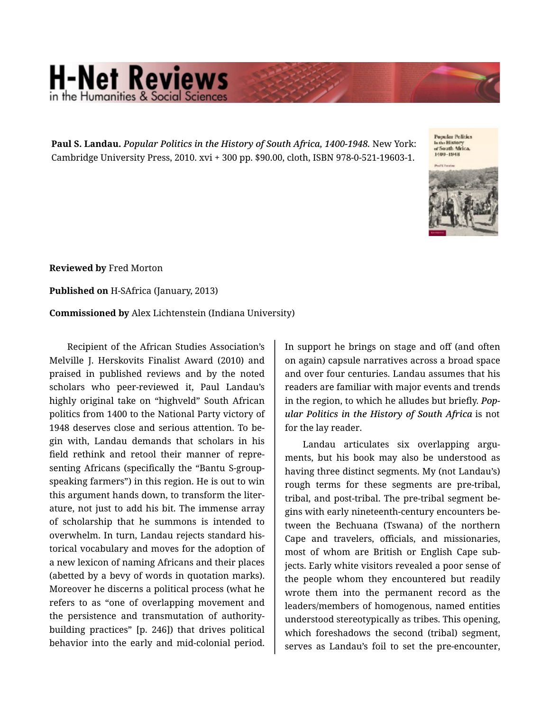## **H-Net Reviews** he Humanities & Social S

**Paul S. Landau.** *Popular Politics in the History of South Africa, 1400-1948.* New York: Cambridge University Press, 2010. xvi + 300 pp. \$90.00, cloth, ISBN 978-0-521-19603-1.

Popular Politics<br>inthe History<br>of South Africa,<br>1400–1948



**Reviewed by** Fred Morton

**Published on** H-SAfrica (January, 2013)

**Commissioned by** Alex Lichtenstein (Indiana University)

Recipient of the African Studies Association's Melville J. Herskovits Finalist Award (2010) and praised in published reviews and by the noted scholars who peer-reviewed it, Paul Landau's highly original take on "highveld" South African politics from 1400 to the National Party victory of 1948 deserves close and serious attention. To be‐ gin with, Landau demands that scholars in his field rethink and retool their manner of repre‐ senting Africans (specifically the "Bantu S-groupspeaking farmers") in this region. He is out to win this argument hands down, to transform the liter‐ ature, not just to add his bit. The immense array of scholarship that he summons is intended to overwhelm. In turn, Landau rejects standard his‐ torical vocabulary and moves for the adoption of a new lexicon of naming Africans and their places (abetted by a bevy of words in quotation marks). Moreover he discerns a political process (what he refers to as "one of overlapping movement and the persistence and transmutation of authoritybuilding practices" [p. 246]) that drives political behavior into the early and mid-colonial period.

In support he brings on stage and off (and often on again) capsule narratives across a broad space and over four centuries. Landau assumes that his readers are familiar with major events and trends in the region, to which he alludes but briefly. *Pop‐ ular Politics in the History of South Africa* is not for the lay reader.

Landau articulates six overlapping argu‐ ments, but his book may also be understood as having three distinct segments. My (not Landau's) rough terms for these segments are pre-tribal, tribal, and post-tribal. The pre-tribal segment be‐ gins with early nineteenth-century encounters be‐ tween the Bechuana (Tswana) of the northern Cape and travelers, officials, and missionaries, most of whom are British or English Cape sub‐ jects. Early white visitors revealed a poor sense of the people whom they encountered but readily wrote them into the permanent record as the leaders/members of homogenous, named entities understood stereotypically as tribes. This opening, which foreshadows the second (tribal) segment, serves as Landau's foil to set the pre-encounter,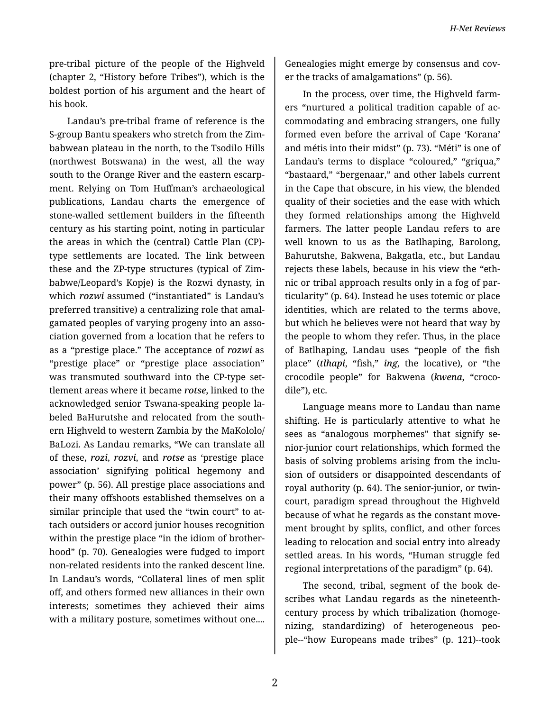pre-tribal picture of the people of the Highveld (chapter 2, "History before Tribes"), which is the boldest portion of his argument and the heart of his book.

Landau's pre-tribal frame of reference is the S-group Bantu speakers who stretch from the Zim‐ babwean plateau in the north, to the Tsodilo Hills (northwest Botswana) in the west, all the way south to the Orange River and the eastern escarp‐ ment. Relying on Tom Huffman's archaeological publications, Landau charts the emergence of stone-walled settlement builders in the fifteenth century as his starting point, noting in particular the areas in which the (central) Cattle Plan (CP) type settlements are located. The link between these and the ZP-type structures (typical of Zim‐ babwe/Leopard's Kopje) is the Rozwi dynasty, in which *rozwi* assumed ("instantiated" is Landau's preferred transitive) a centralizing role that amal‐ gamated peoples of varying progeny into an asso‐ ciation governed from a location that he refers to as a "prestige place." The acceptance of *rozwi* as "prestige place" or "prestige place association" was transmuted southward into the CP-type set‐ tlement areas where it became *rotse*, linked to the acknowledged senior Tswana-speaking people la‐ beled BaHurutshe and relocated from the south‐ ern Highveld to western Zambia by the MaKololo/ BaLozi. As Landau remarks, "We can translate all of these, *rozi*, *rozvi*, and *rotse* as 'prestige place association' signifying political hegemony and power" (p. 56). All prestige place associations and their many offshoots established themselves on a similar principle that used the "twin court" to at‐ tach outsiders or accord junior houses recognition within the prestige place "in the idiom of brotherhood" (p. 70). Genealogies were fudged to import non-related residents into the ranked descent line. In Landau's words, "Collateral lines of men split off, and others formed new alliances in their own interests; sometimes they achieved their aims with a military posture, sometimes without one....

Genealogies might emerge by consensus and cov‐ er the tracks of amalgamations" (p. 56).

In the process, over time, the Highveld farm‐ ers "nurtured a political tradition capable of ac‐ commodating and embracing strangers, one fully formed even before the arrival of Cape 'Korana' and métis into their midst" (p. 73). "Méti" is one of Landau's terms to displace "coloured," "griqua," "bastaard," "bergenaar," and other labels current in the Cape that obscure, in his view, the blended quality of their societies and the ease with which they formed relationships among the Highveld farmers. The latter people Landau refers to are well known to us as the Batlhaping, Barolong, Bahurutshe, Bakwena, Bakgatla, etc., but Landau rejects these labels, because in his view the "eth‐ nic or tribal approach results only in a fog of par‐ ticularity" (p. 64). Instead he uses totemic or place identities, which are related to the terms above, but which he believes were not heard that way by the people to whom they refer. Thus, in the place of Batlhaping, Landau uses "people of the fish place" (*tlhapi*, "fish," *ing*, the locative), or "the crocodile people" for Bakwena (*kwena*, "croco‐ dile"), etc.

Language means more to Landau than name shifting. He is particularly attentive to what he sees as "analogous morphemes" that signify senior-junior court relationships, which formed the basis of solving problems arising from the inclu‐ sion of outsiders or disappointed descendants of royal authority (p. 64). The senior-junior, or twincourt, paradigm spread throughout the Highveld because of what he regards as the constant move‐ ment brought by splits, conflict, and other forces leading to relocation and social entry into already settled areas. In his words, "Human struggle fed regional interpretations of the paradigm" (p. 64).

The second, tribal, segment of the book de‐ scribes what Landau regards as the nineteenthcentury process by which tribalization (homoge‐ nizing, standardizing) of heterogeneous peo‐ ple--"how Europeans made tribes" (p. 121)--took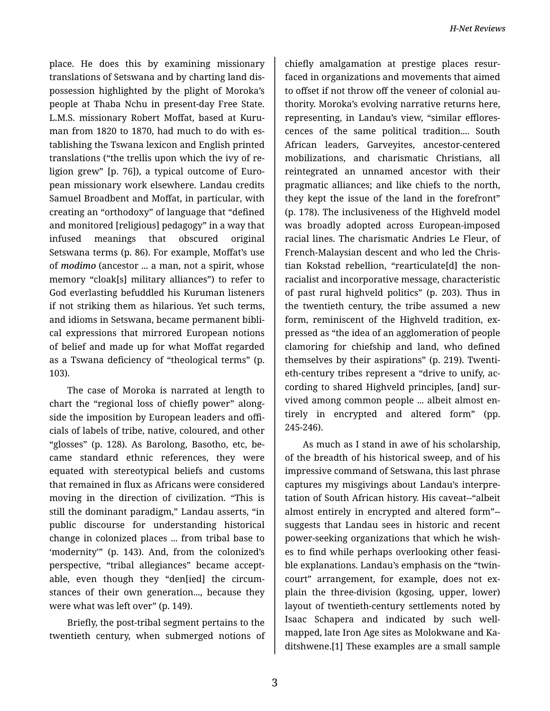place. He does this by examining missionary translations of Setswana and by charting land dis‐ possession highlighted by the plight of Moroka's people at Thaba Nchu in present-day Free State. L.M.S. missionary Robert Moffat, based at Kuru‐ man from 1820 to 1870, had much to do with es‐ tablishing the Tswana lexicon and English printed translations ("the trellis upon which the ivy of re‐ ligion grew" [p. 76]), a typical outcome of Euro‐ pean missionary work elsewhere. Landau credits Samuel Broadbent and Moffat, in particular, with creating an "orthodoxy" of language that "defined and monitored [religious] pedagogy" in a way that infused meanings that obscured original Setswana terms (p. 86). For example, Moffat's use of *modimo* (ancestor ... a man, not a spirit, whose memory "cloak[s] military alliances") to refer to God everlasting befuddled his Kuruman listeners if not striking them as hilarious. Yet such terms, and idioms in Setswana, became permanent bibli‐ cal expressions that mirrored European notions of belief and made up for what Moffat regarded as a Tswana deficiency of "theological terms" (p. 103).

The case of Moroka is narrated at length to chart the "regional loss of chiefly power" along‐ side the imposition by European leaders and offi‐ cials of labels of tribe, native, coloured, and other "glosses" (p. 128). As Barolong, Basotho, etc, be‐ came standard ethnic references, they were equated with stereotypical beliefs and customs that remained in flux as Africans were considered moving in the direction of civilization. "This is still the dominant paradigm," Landau asserts, "in public discourse for understanding historical change in colonized places ... from tribal base to 'modernity'" (p. 143). And, from the colonized's perspective, "tribal allegiances" became accept‐ able, even though they "den[ied] the circum‐ stances of their own generation..., because they were what was left over" (p. 149).

Briefly, the post-tribal segment pertains to the twentieth century, when submerged notions of

chiefly amalgamation at prestige places resur‐ faced in organizations and movements that aimed to offset if not throw off the veneer of colonial au‐ thority. Moroka's evolving narrative returns here, representing, in Landau's view, "similar efflores‐ cences of the same political tradition.... South African leaders, Garveyites, ancestor-centered mobilizations, and charismatic Christians, all reintegrated an unnamed ancestor with their pragmatic alliances; and like chiefs to the north, they kept the issue of the land in the forefront" (p. 178). The inclusiveness of the Highveld model was broadly adopted across European-imposed racial lines. The charismatic Andries Le Fleur, of French-Malaysian descent and who led the Chris‐ tian Kokstad rebellion, "rearticulate[d] the nonracialist and incorporative message, characteristic of past rural highveld politics" (p. 203). Thus in the twentieth century, the tribe assumed a new form, reminiscent of the Highveld tradition, ex‐ pressed as "the idea of an agglomeration of people clamoring for chiefship and land, who defined themselves by their aspirations" (p. 219). Twenti‐ eth-century tribes represent a "drive to unify, ac‐ cording to shared Highveld principles, [and] sur‐ vived among common people ... albeit almost en‐ tirely in encrypted and altered form" (pp. 245-246).

As much as I stand in awe of his scholarship, of the breadth of his historical sweep, and of his impressive command of Setswana, this last phrase captures my misgivings about Landau's interpre‐ tation of South African history. His caveat--"albeit almost entirely in encrypted and altered form"- suggests that Landau sees in historic and recent power-seeking organizations that which he wish‐ es to find while perhaps overlooking other feasi‐ ble explanations. Landau's emphasis on the "twincourt" arrangement, for example, does not explain the three-division (kgosing, upper, lower) layout of twentieth-century settlements noted by Isaac Schapera and indicated by such wellmapped, late Iron Age sites as Molokwane and Ka‐ ditshwene.[1] These examples are a small sample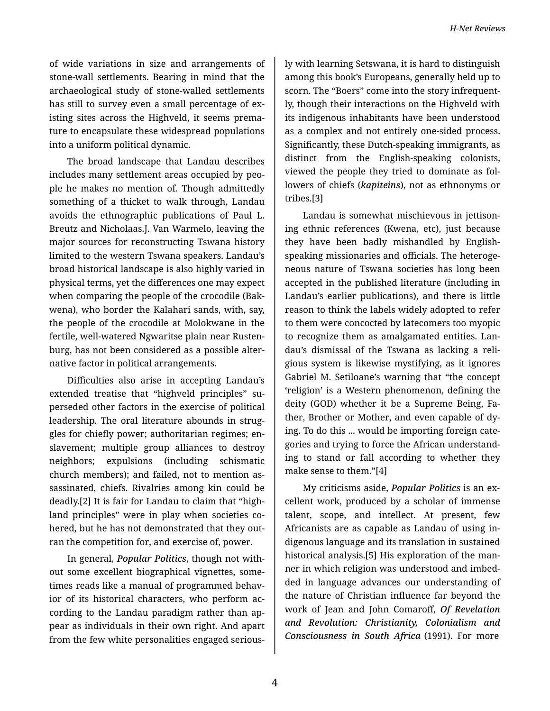of wide variations in size and arrangements of stone-wall settlements. Bearing in mind that the archaeological study of stone-walled settlements has still to survey even a small percentage of ex‐ isting sites across the Highveld, it seems prema‐ ture to encapsulate these widespread populations into a uniform political dynamic.

The broad landscape that Landau describes includes many settlement areas occupied by peo‐ ple he makes no mention of. Though admittedly something of a thicket to walk through, Landau avoids the ethnographic publications of Paul L. Breutz and Nicholaas.J. Van Warmelo, leaving the major sources for reconstructing Tswana history limited to the western Tswana speakers. Landau's broad historical landscape is also highly varied in physical terms, yet the differences one may expect when comparing the people of the crocodile (Bak‐ wena), who border the Kalahari sands, with, say, the people of the crocodile at Molokwane in the fertile, well-watered Ngwaritse plain near Rusten‐ burg, has not been considered as a possible alter‐ native factor in political arrangements.

Difficulties also arise in accepting Landau's extended treatise that "highveld principles" superseded other factors in the exercise of political leadership. The oral literature abounds in strug‐ gles for chiefly power; authoritarian regimes; en‐ slavement; multiple group alliances to destroy neighbors; expulsions (including schismatic church members); and failed, not to mention as‐ sassinated, chiefs. Rivalries among kin could be deadly.[2] It is fair for Landau to claim that "high‐ land principles" were in play when societies co‐ hered, but he has not demonstrated that they out‐ ran the competition for, and exercise of, power.

In general, *Popular Politics*, though not with‐ out some excellent biographical vignettes, some‐ times reads like a manual of programmed behav‐ ior of its historical characters, who perform ac‐ cording to the Landau paradigm rather than ap‐ pear as individuals in their own right. And apart from the few white personalities engaged serious‐

ly with learning Setswana, it is hard to distinguish among this book's Europeans, generally held up to scorn. The "Boers" come into the story infrequent‐ ly, though their interactions on the Highveld with its indigenous inhabitants have been understood as a complex and not entirely one-sided process. Significantly, these Dutch-speaking immigrants, as distinct from the English-speaking colonists, viewed the people they tried to dominate as fol‐ lowers of chiefs (*kapiteins*), not as ethnonyms or tribes.[3]

Landau is somewhat mischievous in jettison‐ ing ethnic references (Kwena, etc), just because they have been badly mishandled by Englishspeaking missionaries and officials. The heteroge‐ neous nature of Tswana societies has long been accepted in the published literature (including in Landau's earlier publications), and there is little reason to think the labels widely adopted to refer to them were concocted by latecomers too myopic to recognize them as amalgamated entities. Lan‐ dau's dismissal of the Tswana as lacking a reli‐ gious system is likewise mystifying, as it ignores Gabriel M. Setiloane's warning that "the concept 'religion' is a Western phenomenon, defining the deity (GOD) whether it be a Supreme Being, Fa‐ ther, Brother or Mother, and even capable of dy‐ ing. To do this ... would be importing foreign cate‐ gories and trying to force the African understand‐ ing to stand or fall according to whether they make sense to them."[4]

My criticisms aside, *Popular Politics* is an ex‐ cellent work, produced by a scholar of immense talent, scope, and intellect. At present, few Africanists are as capable as Landau of using in‐ digenous language and its translation in sustained historical analysis.[5] His exploration of the man‐ ner in which religion was understood and imbed‐ ded in language advances our understanding of the nature of Christian influence far beyond the work of Jean and John Comaroff, *Of Revelation and Revolution: Christianity, Colonialism and Consciousness in South Africa* (1991). For more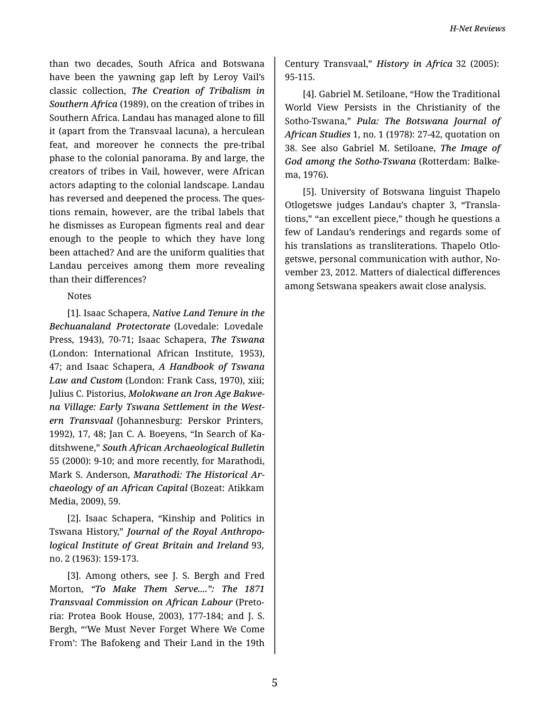than two decades, South Africa and Botswana have been the yawning gap left by Leroy Vail's classic collection, *The Creation of Tribalism in Southern Africa* (1989), on the creation of tribes in Southern Africa. Landau has managed alone to fill it (apart from the Transvaal lacuna), a herculean feat, and moreover he connects the pre-tribal phase to the colonial panorama. By and large, the creators of tribes in Vail, however, were African actors adapting to the colonial landscape. Landau has reversed and deepened the process. The ques‐ tions remain, however, are the tribal labels that he dismisses as European figments real and dear enough to the people to which they have long been attached? And are the uniform qualities that Landau perceives among them more revealing than their differences?

## Notes

[1]. Isaac Schapera, *Native Land Tenure in the Bechuanaland Protectorate* (Lovedale: Lovedale Press, 1943), 70-71; Isaac Schapera, *The Tswana* (London: International African Institute, 1953), 47; and Isaac Schapera, *A Handbook of Tswana Law and Custom* (London: Frank Cass, 1970), xiii; Julius C. Pistorius, *Molokwane an Iron Age Bakwe‐ na Village: Early Tswana Settlement in the West‐ ern Transvaal* (Johannesburg: Perskor Printers, 1992), 17, 48; Jan C. A. Boeyens, "In Search of Ka‐ ditshwene," *South African Archaeological Bulletin* 55 (2000): 9-10; and more recently, for Marathodi, Mark S. Anderson, *Marathodi: The Historical Ar‐ chaeology of an African Capital* (Bozeat: Atikkam Media, 2009), 59.

[2]. Isaac Schapera, "Kinship and Politics in Tswana History," *Journal of the Royal Anthropo‐ logical Institute of Great Britain and Ireland* 93, no. 2 (1963): 159-173.

[3]. Among others, see J. S. Bergh and Fred Morton, *"To Make Them Serve....": The 1871 Transvaal Commission on African Labour* (Preto‐ ria: Protea Book House, 2003), 177-184; and J. S. Bergh, "'We Must Never Forget Where We Come From': The Bafokeng and Their Land in the 19th Century Transvaal," *History in Africa* 32 (2005): 95-115.

[4]. Gabriel M. Setiloane, "How the Traditional World View Persists in the Christianity of the Sotho-Tswana," *Pula: The Botswana Journal of African Studies* 1, no. 1 (1978): 27-42, quotation on 38. See also Gabriel M. Setiloane, *The Image of God among the Sotho-Tswana* (Rotterdam: Balke‐ ma, 1976).

[5]. University of Botswana linguist Thapelo Otlogetswe judges Landau's chapter 3, "Transla‐ tions," "an excellent piece," though he questions a few of Landau's renderings and regards some of his translations as transliterations. Thapelo Otlogetswe, personal communication with author, No‐ vember 23, 2012. Matters of dialectical differences among Setswana speakers await close analysis.